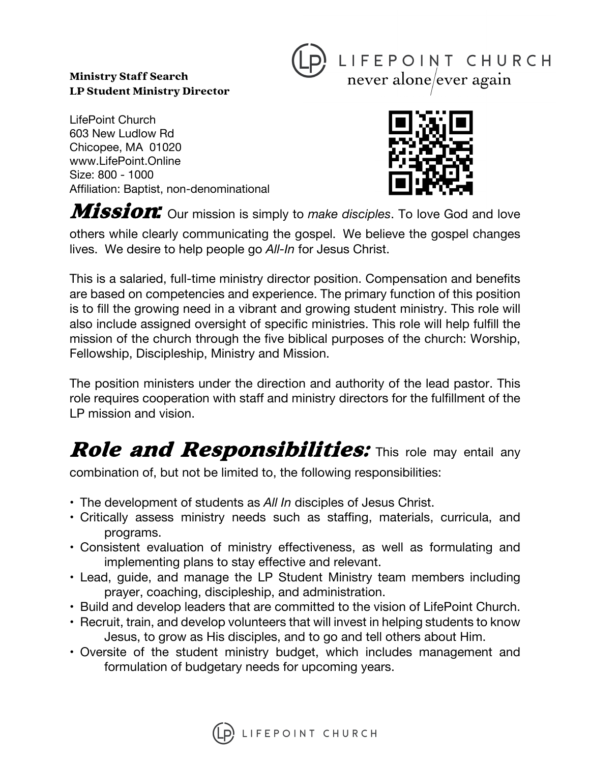#### Ministry Staff Search LP Student Ministry Director



LifePoint Church 603 New Ludlow Rd Chicopee, MA 01020 www.LifePoint.Online Size: 800 - 1000 Affiliation: Baptist, non-denominational



**Mission:** Our mission is simply to *make disciples*. To love God and love others while clearly communicating the gospel. We believe the gospel changes lives. We desire to help people go *All-In* for Jesus Christ.

This is a salaried, full-time ministry director position. Compensation and benefits are based on competencies and experience. The primary function of this position is to fill the growing need in a vibrant and growing student ministry. This role will also include assigned oversight of specific ministries. This role will help fulfill the mission of the church through the five biblical purposes of the church: Worship, Fellowship, Discipleship, Ministry and Mission.

The position ministers under the direction and authority of the lead pastor. This role requires cooperation with staff and ministry directors for the fulfillment of the LP mission and vision.

# **Role and Responsibilities:** This role may entail any

combination of, but not be limited to, the following responsibilities:

- The development of students as *All In* disciples of Jesus Christ.
- Critically assess ministry needs such as staffing, materials, curricula, and programs.
- Consistent evaluation of ministry effectiveness, as well as formulating and implementing plans to stay effective and relevant.
- Lead, guide, and manage the LP Student Ministry team members including prayer, coaching, discipleship, and administration.
- Build and develop leaders that are committed to the vision of LifePoint Church.
- Recruit, train, and develop volunteers that will invest in helping students to know Jesus, to grow as His disciples, and to go and tell others about Him.
- Oversite of the student ministry budget, which includes management and formulation of budgetary needs for upcoming years.

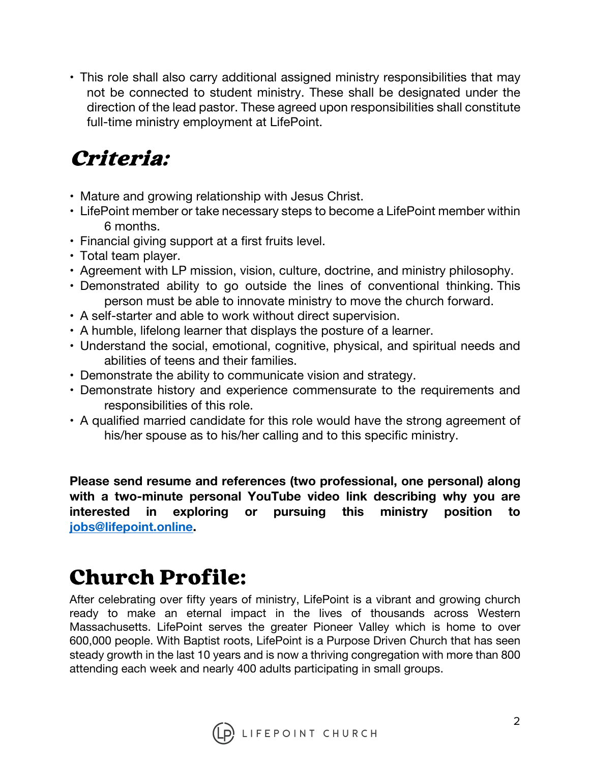• This role shall also carry additional assigned ministry responsibilities that may not be connected to student ministry. These shall be designated under the direction of the lead pastor. These agreed upon responsibilities shall constitute full-time ministry employment at LifePoint.

#### Criteria:

- Mature and growing relationship with Jesus Christ.
- LifePoint member or take necessary steps to become a LifePoint member within 6 months.
- Financial giving support at a first fruits level.
- Total team player.
- Agreement with LP mission, vision, culture, doctrine, and ministry philosophy.
- Demonstrated ability to go outside the lines of conventional thinking. This person must be able to innovate ministry to move the church forward.
- A self-starter and able to work without direct supervision.
- A humble, lifelong learner that displays the posture of a learner.
- Understand the social, emotional, cognitive, physical, and spiritual needs and abilities of teens and their families.
- Demonstrate the ability to communicate vision and strategy.
- Demonstrate history and experience commensurate to the requirements and responsibilities of this role.
- A qualified married candidate for this role would have the strong agreement of his/her spouse as to his/her calling and to this specific ministry.

**Please send resume and references (two professional, one personal) along with a two-minute personal YouTube video link describing why you are interested in exploring or pursuing this ministry position to jobs@lifepoint.online.** 

## Church Profile:

After celebrating over fifty years of ministry, LifePoint is a vibrant and growing church ready to make an eternal impact in the lives of thousands across Western Massachusetts. LifePoint serves the greater Pioneer Valley which is home to over 600,000 people. With Baptist roots, LifePoint is a Purpose Driven Church that has seen steady growth in the last 10 years and is now a thriving congregation with more than 800 attending each week and nearly 400 adults participating in small groups.